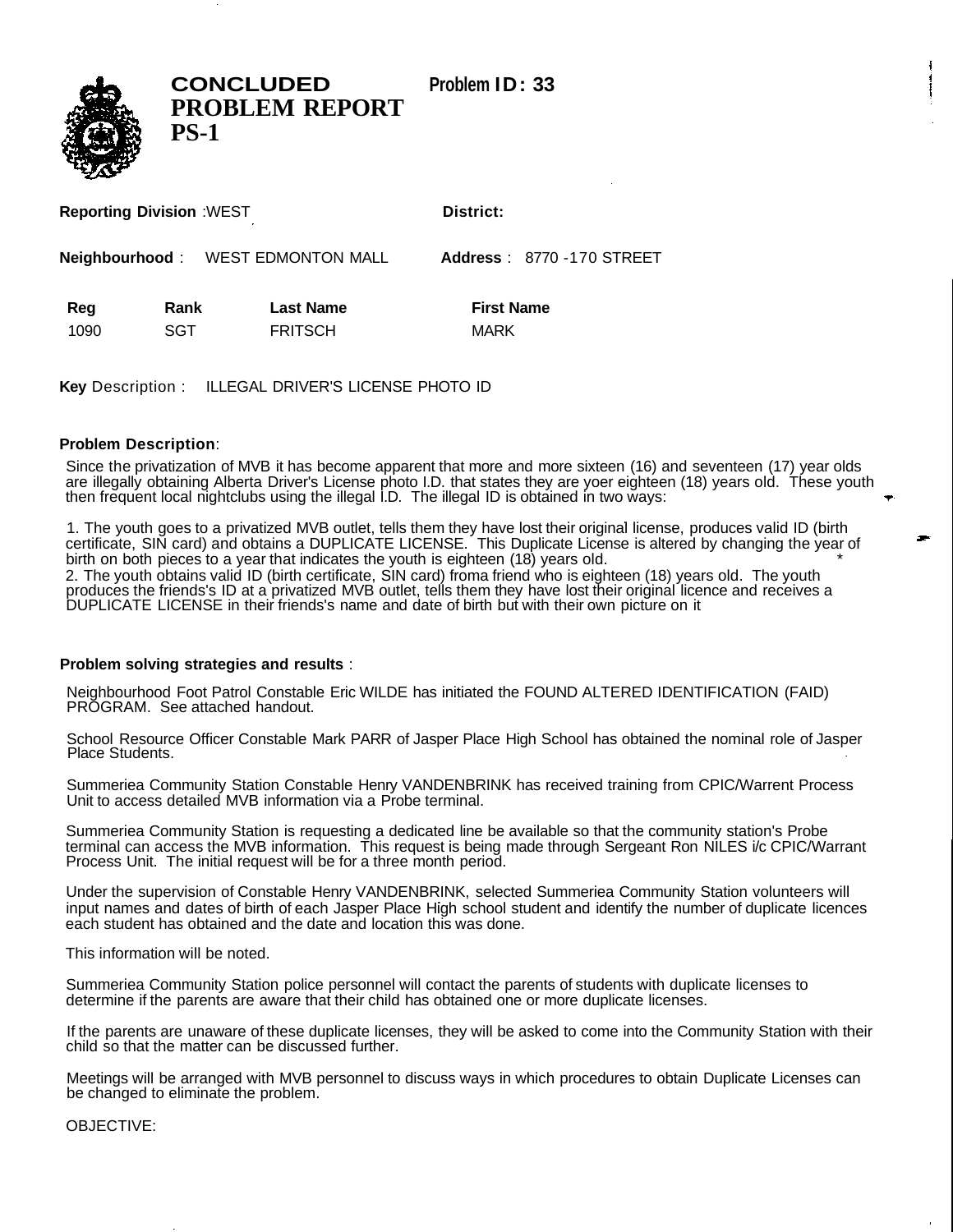**CONCLUDED Problem ID: 33**



**PROBLEM REPORT PS-1**

**Reporting Division** :WEST **District:** 

**Neighbourhood** : WEST EDMONTON MALL **Address** : 8770 -170 STREET

Reg Rank Last Name **First Name** 1090 SGT FRITSCH MARK

**Key** Description : ILLEGAL DRIVER'S LICENSE PHOTO ID

## **Problem Description**:

Since the privatization of MVB it has become apparent that more and more sixteen (16) and seventeen (17) year olds are illegally obtaining Alberta Driver's License photo I.D. that states they are yoer eighteen (18) years old. These youth then frequent local nightclubs using the illegal I.D. The illegal ID is obtained in two ways:

1. The youth goes to a privatized MVB outlet, tells them they have lost their original license, produces valid ID (birth certificate, SIN card) and obtains a DUPLICATE LICENSE. This Duplicate License is altered by changing the year of birth on both pieces to a year that indicates the youth is eighteen (18) years old.  $\sim$ 2. The youth obtains valid ID (birth certificate, SIN card) froma friend who is eighteen (18) years old. The youth produces the friends's ID at a privatized MVB outlet, tells them they have lost their original licence and receives a DUPLICATE LICENSE in their friends's name and date of birth but with their own picture on it

## **Problem solving strategies and results** :

Neighbourhood Foot Patrol Constable Eric WILDE has initiated the FOUND ALTERED IDENTIFICATION (FAID) PROGRAM. See attached handout.

School Resource Officer Constable Mark PARR of Jasper Place High School has obtained the nominal role of Jasper Place Students.

Summeriea Community Station Constable Henry VANDENBRINK has received training from CPIC/Warrent Process Unit to access detailed MVB information via a Probe terminal.

Summeriea Community Station is requesting a dedicated line be available so that the community station's Probe terminal can access the MVB information. This request is being made through Sergeant Ron NILES i/c CPIC/Warrant Process Unit. The initial request will be for a three month period.

Under the supervision of Constable Henry VANDENBRINK, selected Summeriea Community Station volunteers will input names and dates of birth of each Jasper Place High school student and identify the number of duplicate licences each student has obtained and the date and location this was done.

This information will be noted.

Summeriea Community Station police personnel will contact the parents of students with duplicate licenses to determine if the parents are aware that their child has obtained one or more duplicate licenses.

If the parents are unaware of these duplicate licenses, they will be asked to come into the Community Station with their child so that the matter can be discussed further.

Meetings will be arranged with MVB personnel to discuss ways in which procedures to obtain Duplicate Licenses can be changed to eliminate the problem.

OBJECTIVE: